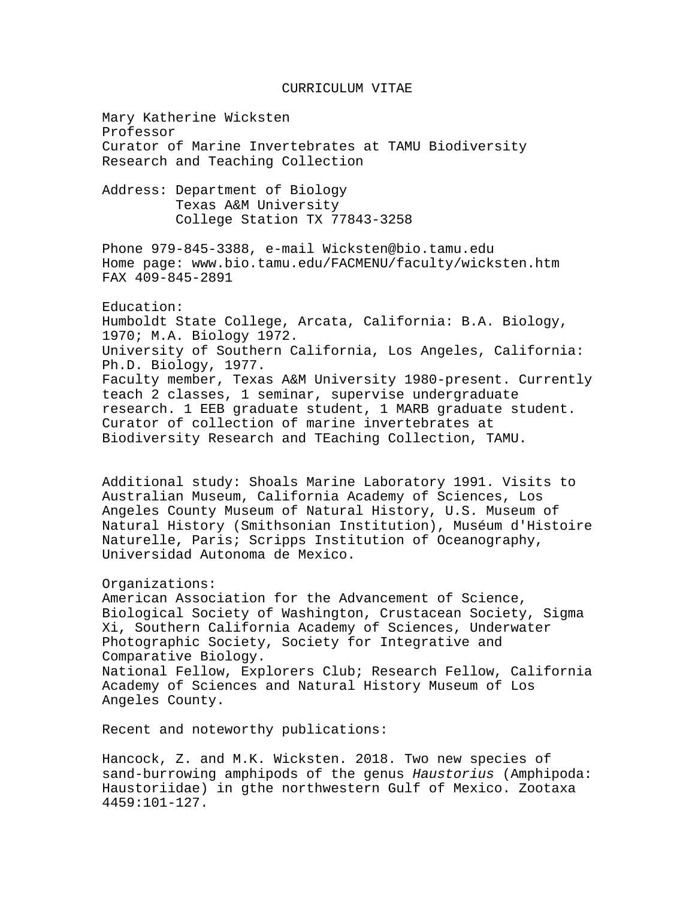## CURRICULUM VITAE

Mary Katherine Wicksten Professor Curator of Marine Invertebrates at TAMU Biodiversity Research and Teaching Collection

Address: Department of Biology Texas A&M University College Station TX 77843-3258

Phone 979-845-3388, e-mail Wicksten@bio.tamu.edu Home page: www.bio.tamu.edu/FACMENU/faculty/wicksten.htm FAX 409-845-2891

## Education:

Humboldt State College, Arcata, California: B.A. Biology, 1970; M.A. Biology 1972. University of Southern California, Los Angeles, California: Ph.D. Biology, 1977. Faculty member, Texas A&M University 1980-present. Currently teach 2 classes, 1 seminar, supervise undergraduate research. 1 EEB graduate student, 1 MARB graduate student. Curator of collection of marine invertebrates at Biodiversity Research and TEaching Collection, TAMU.

Additional study: Shoals Marine Laboratory 1991. Visits to Australian Museum, California Academy of Sciences, Los Angeles County Museum of Natural History, U.S. Museum of Natural History (Smithsonian Institution), Muséum d'Histoire Naturelle, Paris; Scripps Institution of Oceanography, Universidad Autonoma de Mexico.

## Organizations:

American Association for the Advancement of Science, Biological Society of Washington, Crustacean Society, Sigma Xi, Southern California Academy of Sciences, Underwater Photographic Society, Society for Integrative and Comparative Biology. National Fellow, Explorers Club; Research Fellow, California Academy of Sciences and Natural History Museum of Los Angeles County.

Recent and noteworthy publications:

Hancock, Z. and M.K. Wicksten. 2018. Two new species of sand-burrowing amphipods of the genus *Haustorius* (Amphipoda: Haustoriidae) in gthe northwestern Gulf of Mexico. Zootaxa 4459:101-127.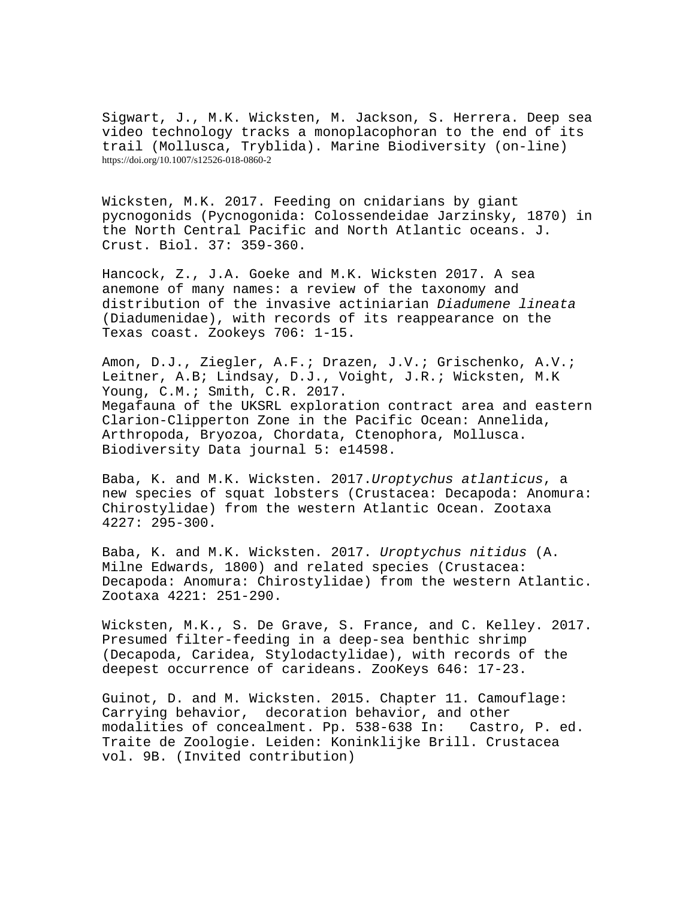Sigwart, J., M.K. Wicksten, M. Jackson, S. Herrera. Deep sea video technology tracks a monoplacophoran to the end of its trail (Mollusca, Tryblida). Marine Biodiversity (on-line) https://doi.org/10.1007/s12526-018-0860-2

Wicksten, M.K. 2017. Feeding on cnidarians by giant pycnogonids (Pycnogonida: Colossendeidae Jarzinsky, 1870) in the North Central Pacific and North Atlantic oceans. J. Crust. Biol. 37: 359-360.

Hancock, Z., J.A. Goeke and M.K. Wicksten 2017. A sea anemone of many names: a review of the taxonomy and distribution of the invasive actiniarian *Diadumene lineata* (Diadumenidae), with records of its reappearance on the Texas coast. Zookeys 706: 1-15.

Amon, D.J., Ziegler, A.F.; Drazen, J.V.; Grischenko, A.V.; Leitner, A.B; Lindsay, D.J., Voight, J.R.; Wicksten, M.K Young, C.M.; Smith, C.R. 2017. Megafauna of the UKSRL exploration contract area and eastern Clarion-Clipperton Zone in the Pacific Ocean: Annelida, Arthropoda, Bryozoa, Chordata, Ctenophora, Mollusca. Biodiversity Data journal 5: e14598.

Baba, K. and M.K. Wicksten. 2017.*Uroptychus atlanticus*, a new species of squat lobsters (Crustacea: Decapoda: Anomura: Chirostylidae) from the western Atlantic Ocean. Zootaxa 4227: 295-300.

Baba, K. and M.K. Wicksten. 2017. *Uroptychus nitidus* (A. Milne Edwards, 1800) and related species (Crustacea: Decapoda: Anomura: Chirostylidae) from the western Atlantic. Zootaxa 4221: 251-290.

Wicksten, M.K., S. De Grave, S. France, and C. Kelley. 2017. Presumed filter-feeding in a deep-sea benthic shrimp (Decapoda, Caridea, Stylodactylidae), with records of the deepest occurrence of carideans. ZooKeys 646: 17-23.

Guinot, D. and M. Wicksten. 2015. Chapter 11. Camouflage: Carrying behavior, decoration behavior, and other<br>modalities of concealment. Pp. 538-638 In: Castro, P. ed. modalities of concealment. Pp. 538-638 In: Traite de Zoologie. Leiden: Koninklijke Brill. Crustacea vol. 9B. (Invited contribution)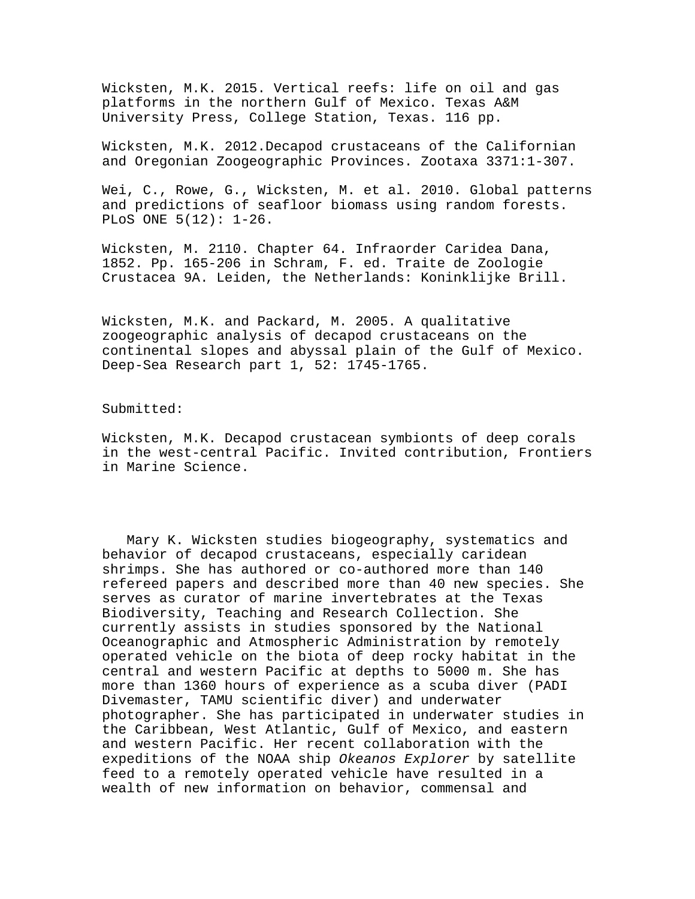Wicksten, M.K. 2015. Vertical reefs: life on oil and gas platforms in the northern Gulf of Mexico. Texas A&M University Press, College Station, Texas. 116 pp.

Wicksten, M.K. 2012.Decapod crustaceans of the Californian and Oregonian Zoogeographic Provinces. Zootaxa 3371:1-307.

Wei, C., Rowe, G., Wicksten, M. et al. 2010. Global patterns and predictions of seafloor biomass using random forests. PLoS ONE 5(12): 1-26.

Wicksten, M. 2110. Chapter 64. Infraorder Caridea Dana, 1852. Pp. 165-206 in Schram, F. ed. Traite de Zoologie Crustacea 9A. Leiden, the Netherlands: Koninklijke Brill.

Wicksten, M.K. and Packard, M. 2005. A qualitative zoogeographic analysis of decapod crustaceans on the continental slopes and abyssal plain of the Gulf of Mexico. Deep-Sea Research part 1, 52: 1745-1765.

## Submitted:

Wicksten, M.K. Decapod crustacean symbionts of deep corals in the west-central Pacific. Invited contribution, Frontiers in Marine Science.

 Mary K. Wicksten studies biogeography, systematics and behavior of decapod crustaceans, especially caridean shrimps. She has authored or co-authored more than 140 refereed papers and described more than 40 new species. She serves as curator of marine invertebrates at the Texas Biodiversity, Teaching and Research Collection. She currently assists in studies sponsored by the National Oceanographic and Atmospheric Administration by remotely operated vehicle on the biota of deep rocky habitat in the central and western Pacific at depths to 5000 m. She has more than 1360 hours of experience as a scuba diver (PADI Divemaster, TAMU scientific diver) and underwater photographer. She has participated in underwater studies in the Caribbean, West Atlantic, Gulf of Mexico, and eastern and western Pacific. Her recent collaboration with the expeditions of the NOAA ship *Okeanos Explorer* by satellite feed to a remotely operated vehicle have resulted in a wealth of new information on behavior, commensal and